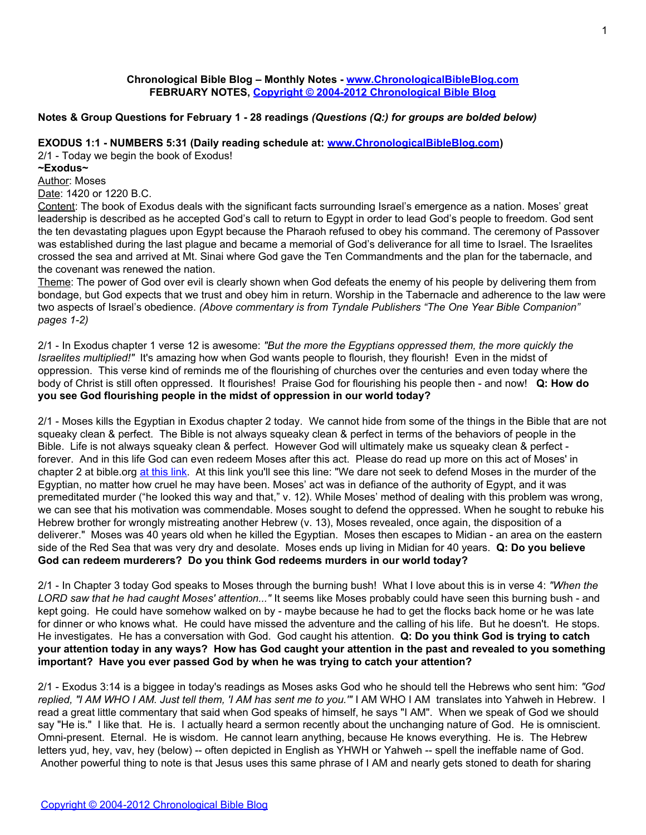#### **Chronological Bible Blog – Monthly Notes - [www.ChronologicalBibleBlog.com](http://www.chronologicalbibleblog.com/) FEBRUARY NOTES, [Copyright © 2004-2012 Chronological Bible Blog](http://www.chronologicalbibleblog.com/)**

## **Notes & Group Questions for February 1 - 28 readings** *(Questions (Q:) for groups are bolded below)*

**EXODUS 1:1 - NUMBERS 5:31 (Daily reading schedule at: [www.ChronologicalBibleBlog.com\)](http://www.chronologicalbibleblog.com/)**

2/1 - Today we begin the book of Exodus!

**~Exodus~**

Author: Moses

Date: 1420 or 1220 B.C.

Content: The book of Exodus deals with the significant facts surrounding Israel's emergence as a nation. Moses' great leadership is described as he accepted God's call to return to Egypt in order to lead God's people to freedom. God sent the ten devastating plagues upon Egypt because the Pharaoh refused to obey his command. The ceremony of Passover was established during the last plague and became a memorial of God's deliverance for all time to Israel. The Israelites crossed the sea and arrived at Mt. Sinai where God gave the Ten Commandments and the plan for the tabernacle, and the covenant was renewed the nation.

Theme: The power of God over evil is clearly shown when God defeats the enemy of his people by delivering them from bondage, but God expects that we trust and obey him in return. Worship in the Tabernacle and adherence to the law were two aspects of Israel's obedience. *(Above commentary is from Tyndale Publishers "The One Year Bible Companion" pages 1-2)*

2/1 - In Exodus chapter 1 verse 12 is awesome: *"But the more the Egyptians oppressed them, the more quickly the Israelites multiplied!"* It's amazing how when God wants people to flourish, they flourish! Even in the midst of oppression. This verse kind of reminds me of the flourishing of churches over the centuries and even today where the body of Christ is still often oppressed. It flourishes! Praise God for flourishing his people then - and now! **Q: How do you see God flourishing people in the midst of oppression in our world today?**

2/1 - Moses kills the Egyptian in Exodus chapter 2 today. We cannot hide from some of the things in the Bible that are not squeaky clean & perfect. The Bible is not always squeaky clean & perfect in terms of the behaviors of people in the Bible. Life is not always squeaky clean & perfect. However God will ultimately make us squeaky clean & perfect forever. And in this life God can even redeem Moses after this act. Please do read up more on this act of Moses' in chapter 2 at bible.org [at this link](http://blank/). At this link you'll see this line: "We dare not seek to defend Moses in the murder of the Egyptian, no matter how cruel he may have been. Moses' act was in defiance of the authority of Egypt, and it was premeditated murder ("he looked this way and that," v. 12). While Moses' method of dealing with this problem was wrong, we can see that his motivation was commendable. Moses sought to defend the oppressed. When he sought to rebuke his Hebrew brother for wrongly mistreating another Hebrew (v. 13), Moses revealed, once again, the disposition of a deliverer." Moses was 40 years old when he killed the Egyptian. Moses then escapes to Midian - an area on the eastern side of the Red Sea that was very dry and desolate. Moses ends up living in Midian for 40 years. **Q: Do you believe God can redeem murderers? Do you think God redeems murders in our world today?**

2/1 - In Chapter 3 today God speaks to Moses through the burning bush! What I love about this is in verse 4: *"When the LORD saw that he had caught Moses' attention..."* It seems like Moses probably could have seen this burning bush - and kept going. He could have somehow walked on by - maybe because he had to get the flocks back home or he was late for dinner or who knows what. He could have missed the adventure and the calling of his life. But he doesn't. He stops. He investigates. He has a conversation with God. God caught his attention. **Q: Do you think God is trying to catch your attention today in any ways? How has God caught your attention in the past and revealed to you something important? Have you ever passed God by when he was trying to catch your attention?**

2/1 - Exodus 3:14 is a biggee in today's readings as Moses asks God who he should tell the Hebrews who sent him: *"God replied, "I AM WHO I AM. Just tell them, 'I AM has sent me to you.'"* I AM WHO I AM translates into Yahweh in Hebrew. I read a great little commentary that said when God speaks of himself, he says "I AM". When we speak of God we should say "He is." I like that. He is. I actually heard a sermon recently about the unchanging nature of God. He is omniscient. Omni-present. Eternal. He is wisdom. He cannot learn anything, because He knows everything. He is. The Hebrew letters yud, hey, vav, hey (below) -- often depicted in English as YHWH or Yahweh -- spell the ineffable name of God. Another powerful thing to note is that Jesus uses this same phrase of I AM and nearly gets stoned to death for sharing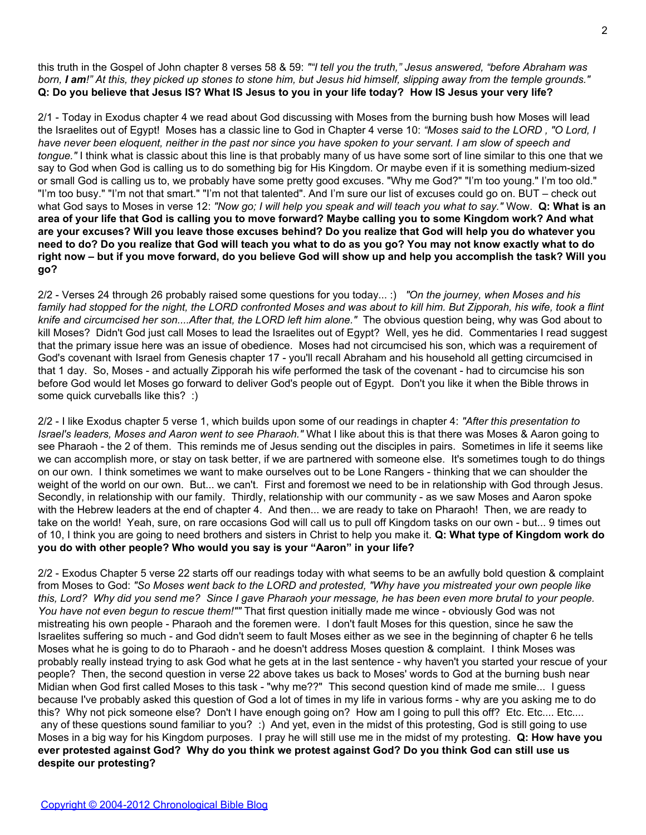this truth in the Gospel of John chapter 8 verses 58 & 59: *""I tell you the truth," Jesus answered, "before Abraham was born, I am!" At this, they picked up stones to stone him, but Jesus hid himself, slipping away from the temple grounds."* **Q: Do you believe that Jesus IS? What IS Jesus to you in your life today? How IS Jesus your very life?**

2/1 - Today in Exodus chapter 4 we read about God discussing with Moses from the burning bush how Moses will lead the Israelites out of Egypt! Moses has a classic line to God in Chapter 4 verse 10: *"Moses said to the LORD , "O Lord, I have never been eloquent, neither in the past nor since you have spoken to your servant. I am slow of speech and tongue."* I think what is classic about this line is that probably many of us have some sort of line similar to this one that we say to God when God is calling us to do something big for His Kingdom. Or maybe even if it is something medium-sized or small God is calling us to, we probably have some pretty good excuses. "Why me God?" "I'm too young." I'm too old." "I'm too busy." "I'm not that smart." "I'm not that talented". And I'm sure our list of excuses could go on. BUT – check out what God says to Moses in verse 12: *"Now go; I will help you speak and will teach you what to say."* Wow. **Q: What is an area of your life that God is calling you to move forward? Maybe calling you to some Kingdom work? And what are your excuses? Will you leave those excuses behind? Do you realize that God will help you do whatever you need to do? Do you realize that God will teach you what to do as you go? You may not know exactly what to do right now – but if you move forward, do you believe God will show up and help you accomplish the task? Will you go?**

2/2 - Verses 24 through 26 probably raised some questions for you today... :) *"On the journey, when Moses and his family had stopped for the night, the LORD confronted Moses and was about to kill him. But Zipporah, his wife, took a flint knife and circumcised her son....After that, the LORD left him alone."* The obvious question being, why was God about to kill Moses? Didn't God just call Moses to lead the Israelites out of Egypt? Well, yes he did. Commentaries I read suggest that the primary issue here was an issue of obedience. Moses had not circumcised his son, which was a requirement of God's covenant with Israel from Genesis chapter 17 - you'll recall Abraham and his household all getting circumcised in that 1 day. So, Moses - and actually Zipporah his wife performed the task of the covenant - had to circumcise his son before God would let Moses go forward to deliver God's people out of Egypt. Don't you like it when the Bible throws in some quick curveballs like this? :)

2/2 - I like Exodus chapter 5 verse 1, which builds upon some of our readings in chapter 4: *"After this presentation to Israel's leaders, Moses and Aaron went to see Pharaoh."* What I like about this is that there was Moses & Aaron going to see Pharaoh - the 2 of them. This reminds me of Jesus sending out the disciples in pairs. Sometimes in life it seems like we can accomplish more, or stay on task better, if we are partnered with someone else. It's sometimes tough to do things on our own. I think sometimes we want to make ourselves out to be Lone Rangers - thinking that we can shoulder the weight of the world on our own. But... we can't. First and foremost we need to be in relationship with God through Jesus. Secondly, in relationship with our family. Thirdly, relationship with our community - as we saw Moses and Aaron spoke with the Hebrew leaders at the end of chapter 4. And then... we are ready to take on Pharaoh! Then, we are ready to take on the world! Yeah, sure, on rare occasions God will call us to pull off Kingdom tasks on our own - but... 9 times out of 10, I think you are going to need brothers and sisters in Christ to help you make it. **Q: What type of Kingdom work do you do with other people? Who would you say is your "Aaron" in your life?**

2/2 - Exodus Chapter 5 verse 22 starts off our readings today with what seems to be an awfully bold question & complaint from Moses to God: *"So Moses went back to the LORD and protested, "Why have you mistreated your own people like this, Lord? Why did you send me? Since I gave Pharaoh your message, he has been even more brutal to your people. You have not even begun to rescue them!""* That first question initially made me wince - obviously God was not mistreating his own people - Pharaoh and the foremen were. I don't fault Moses for this question, since he saw the Israelites suffering so much - and God didn't seem to fault Moses either as we see in the beginning of chapter 6 he tells Moses what he is going to do to Pharaoh - and he doesn't address Moses question & complaint. I think Moses was probably really instead trying to ask God what he gets at in the last sentence - why haven't you started your rescue of your people? Then, the second question in verse 22 above takes us back to Moses' words to God at the burning bush near Midian when God first called Moses to this task - "why me??" This second question kind of made me smile... I guess because I've probably asked this question of God a lot of times in my life in various forms - why are you asking me to do this? Why not pick someone else? Don't I have enough going on? How am I going to pull this off? Etc. Etc.... Etc.... any of these questions sound familiar to you? :) And yet, even in the midst of this protesting, God is still going to use Moses in a big way for his Kingdom purposes. I pray he will still use me in the midst of my protesting. **Q: How have you ever protested against God? Why do you think we protest against God? Do you think God can still use us despite our protesting?**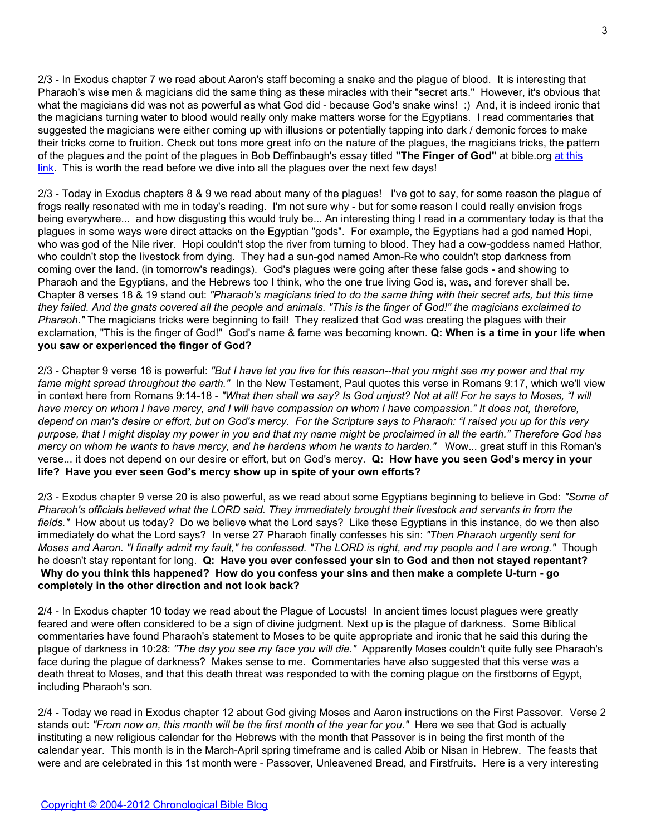2/3 - In Exodus chapter 7 we read about Aaron's staff becoming a snake and the plague of blood. It is interesting that Pharaoh's wise men & magicians did the same thing as these miracles with their "secret arts." However, it's obvious that what the magicians did was not as powerful as what God did - because God's snake wins! :) And, it is indeed ironic that the magicians turning water to blood would really only make matters worse for the Egyptians. I read commentaries that suggested the magicians were either coming up with illusions or potentially tapping into dark / demonic forces to make their tricks come to fruition. Check out tons more great info on the nature of the plagues, the magicians tricks, the pattern of the plagues and the point of the plagues in Bob Deffinbaugh's essay titled **"The Finger of God"** at bible.org [at this](http://blank/) [link](http://blank/). This is worth the read before we dive into all the plagues over the next few days!

2/3 - Today in Exodus chapters 8 & 9 we read about many of the plagues! I've got to say, for some reason the plague of frogs really resonated with me in today's reading. I'm not sure why - but for some reason I could really envision frogs being everywhere... and how disgusting this would truly be... An interesting thing I read in a commentary today is that the plagues in some ways were direct attacks on the Egyptian "gods". For example, the Egyptians had a god named Hopi, who was god of the Nile river. Hopi couldn't stop the river from turning to blood. They had a cow-goddess named Hathor, who couldn't stop the livestock from dying. They had a sun-god named Amon-Re who couldn't stop darkness from coming over the land. (in tomorrow's readings). God's plagues were going after these false gods - and showing to Pharaoh and the Egyptians, and the Hebrews too I think, who the one true living God is, was, and forever shall be. Chapter 8 verses 18 & 19 stand out: *"Pharaoh's magicians tried to do the same thing with their secret arts, but this time they failed. And the gnats covered all the people and animals. "This is the finger of God!" the magicians exclaimed to Pharaoh."* The magicians tricks were beginning to fail! They realized that God was creating the plagues with their exclamation, "This is the finger of God!" God's name & fame was becoming known. **Q: When is a time in your life when you saw or experienced the finger of God?**

2/3 - Chapter 9 verse 16 is powerful: *"But I have let you live for this reason--that you might see my power and that my fame might spread throughout the earth."* In the New Testament, Paul quotes this verse in Romans 9:17, which we'll view in context here from Romans 9:14-18 - *"What then shall we say? Is God unjust? Not at all! For he says to Moses, "I will have mercy on whom I have mercy, and I will have compassion on whom I have compassion." It does not, therefore, depend on man's desire or effort, but on God's mercy. For the Scripture says to Pharaoh: "I raised you up for this very purpose, that I might display my power in you and that my name might be proclaimed in all the earth." Therefore God has mercy on whom he wants to have mercy, and he hardens whom he wants to harden."* Wow... great stuff in this Roman's verse... it does not depend on our desire or effort, but on God's mercy. **Q: How have you seen God's mercy in your life? Have you ever seen God's mercy show up in spite of your own efforts?**

2/3 - Exodus chapter 9 verse 20 is also powerful, as we read about some Egyptians beginning to believe in God: *"Some of Pharaoh's officials believed what the LORD said. They immediately brought their livestock and servants in from the fields."* How about us today? Do we believe what the Lord says? Like these Egyptians in this instance, do we then also immediately do what the Lord says? In verse 27 Pharaoh finally confesses his sin: *"Then Pharaoh urgently sent for Moses and Aaron. "I finally admit my fault," he confessed. "The LORD is right, and my people and I are wrong."* Though he doesn't stay repentant for long. **Q: Have you ever confessed your sin to God and then not stayed repentant? Why do you think this happened? How do you confess your sins and then make a complete U-turn - go completely in the other direction and not look back?**

2/4 - In Exodus chapter 10 today we read about the Plague of Locusts! In ancient times locust plagues were greatly feared and were often considered to be a sign of divine judgment. Next up is the plague of darkness. Some Biblical commentaries have found Pharaoh's statement to Moses to be quite appropriate and ironic that he said this during the plague of darkness in 10:28: *"The day you see my face you will die."* Apparently Moses couldn't quite fully see Pharaoh's face during the plague of darkness? Makes sense to me. Commentaries have also suggested that this verse was a death threat to Moses, and that this death threat was responded to with the coming plague on the firstborns of Egypt, including Pharaoh's son.

2/4 - Today we read in Exodus chapter 12 about God giving Moses and Aaron instructions on the First Passover. Verse 2 stands out: *"From now on, this month will be the first month of the year for you."* Here we see that God is actually instituting a new religious calendar for the Hebrews with the month that Passover is in being the first month of the calendar year. This month is in the March-April spring timeframe and is called Abib or Nisan in Hebrew. The feasts that were and are celebrated in this 1st month were - Passover, Unleavened Bread, and Firstfruits. Here is a very interesting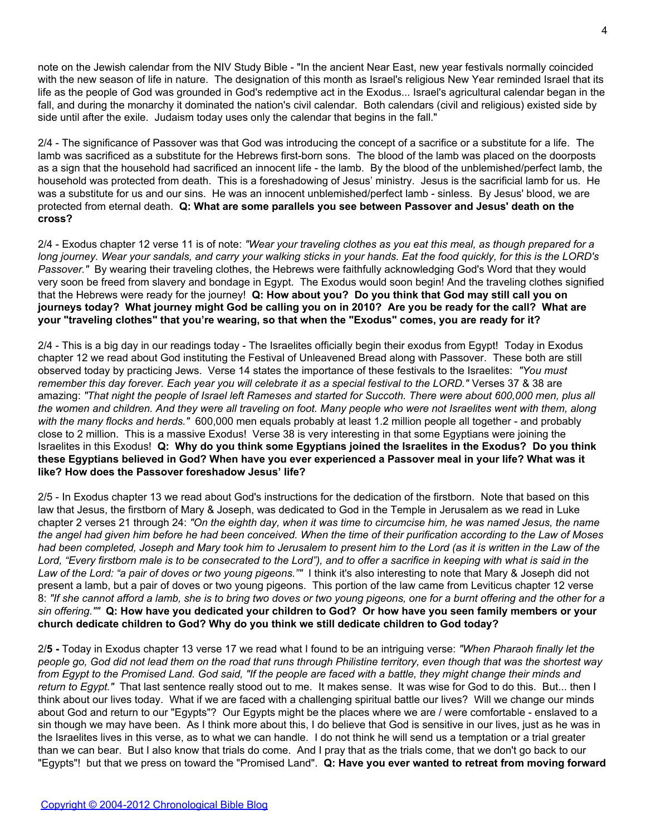note on the Jewish calendar from the NIV Study Bible - "In the ancient Near East, new year festivals normally coincided with the new season of life in nature. The designation of this month as Israel's religious New Year reminded Israel that its life as the people of God was grounded in God's redemptive act in the Exodus... Israel's agricultural calendar began in the fall, and during the monarchy it dominated the nation's civil calendar. Both calendars (civil and religious) existed side by side until after the exile. Judaism today uses only the calendar that begins in the fall."

2/4 - The significance of Passover was that God was introducing the concept of a sacrifice or a substitute for a life. The lamb was sacrificed as a substitute for the Hebrews first-born sons. The blood of the lamb was placed on the doorposts as a sign that the household had sacrificed an innocent life - the lamb. By the blood of the unblemished/perfect lamb, the household was protected from death. This is a foreshadowing of Jesus' ministry. Jesus is the sacrificial lamb for us. He was a substitute for us and our sins. He was an innocent unblemished/perfect lamb - sinless. By Jesus' blood, we are protected from eternal death. **Q: What are some parallels you see between Passover and Jesus' death on the cross?**

2/4 - Exodus chapter 12 verse 11 is of note: *"Wear your traveling clothes as you eat this meal, as though prepared for a long journey. Wear your sandals, and carry your walking sticks in your hands. Eat the food quickly, for this is the LORD's Passover."* By wearing their traveling clothes, the Hebrews were faithfully acknowledging God's Word that they would very soon be freed from slavery and bondage in Egypt. The Exodus would soon begin! And the traveling clothes signified that the Hebrews were ready for the journey! **Q: How about you? Do you think that God may still call you on journeys today? What journey might God be calling you on in 2010? Are you be ready for the call? What are your "traveling clothes" that you're wearing, so that when the "Exodus" comes, you are ready for it?**

2/4 - This is a big day in our readings today - The Israelites officially begin their exodus from Egypt! Today in Exodus chapter 12 we read about God instituting the Festival of Unleavened Bread along with Passover. These both are still observed today by practicing Jews. Verse 14 states the importance of these festivals to the Israelites: *"You must remember this day forever. Each year you will celebrate it as a special festival to the LORD."* Verses 37 & 38 are amazing: *"That night the people of Israel left Rameses and started for Succoth. There were about 600,000 men, plus all the women and children. And they were all traveling on foot. Many people who were not Israelites went with them, along with the many flocks and herds."* 600,000 men equals probably at least 1.2 million people all together - and probably close to 2 million. This is a massive Exodus! Verse 38 is very interesting in that some Egyptians were joining the Israelites in this Exodus! **Q: Why do you think some Egyptians joined the Israelites in the Exodus? Do you think these Egyptians believed in God? When have you ever experienced a Passover meal in your life? What was it like? How does the Passover foreshadow Jesus' life?**

2/5 - In Exodus chapter 13 we read about God's instructions for the dedication of the firstborn. Note that based on this law that Jesus, the firstborn of Mary & Joseph, was dedicated to God in the Temple in Jerusalem as we read in Luke chapter 2 verses 21 through 24: *"On the eighth day, when it was time to circumcise him, he was named Jesus, the name the angel had given him before he had been conceived. When the time of their purification according to the Law of Moses had been completed, Joseph and Mary took him to Jerusalem to present him to the Lord (as it is written in the Law of the Lord, "Every firstborn male is to be consecrated to the Lord"), and to offer a sacrifice in keeping with what is said in the Law of the Lord: "a pair of doves or two young pigeons.""* I think it's also interesting to note that Mary & Joseph did not present a lamb, but a pair of doves or two young pigeons. This portion of the law came from Leviticus chapter 12 verse 8: *"If she cannot afford a lamb, she is to bring two doves or two young pigeons, one for a burnt offering and the other for a sin offering.""* **Q: How have you dedicated your children to God? Or how have you seen family members or your church dedicate children to God? Why do you think we still dedicate children to God today?**

2/**5 -** Today in Exodus chapter 13 verse 17 we read what I found to be an intriguing verse: *"When Pharaoh finally let the people go, God did not lead them on the road that runs through Philistine territory, even though that was the shortest way from Egypt to the Promised Land. God said, "If the people are faced with a battle, they might change their minds and return to Egypt."* That last sentence really stood out to me. It makes sense. It was wise for God to do this. But... then I think about our lives today. What if we are faced with a challenging spiritual battle our lives? Will we change our minds about God and return to our "Egypts"? Our Egypts might be the places where we are / were comfortable - enslaved to a sin though we may have been. As I think more about this, I do believe that God is sensitive in our lives, just as he was in the Israelites lives in this verse, as to what we can handle. I do not think he will send us a temptation or a trial greater than we can bear. But I also know that trials do come. And I pray that as the trials come, that we don't go back to our "Egypts"! but that we press on toward the "Promised Land". **Q: Have you ever wanted to retreat from moving forward**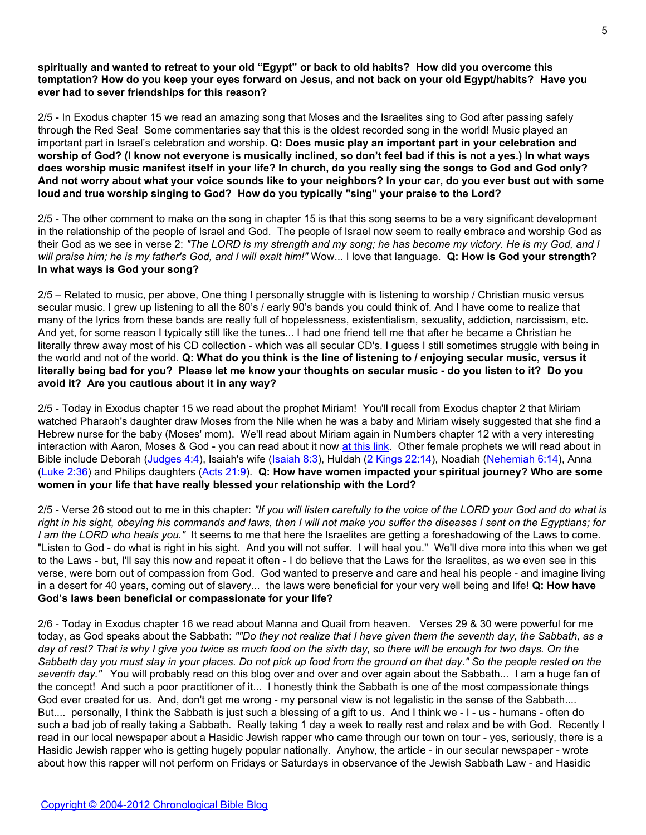### **spiritually and wanted to retreat to your old "Egypt" or back to old habits? How did you overcome this temptation? How do you keep your eyes forward on Jesus, and not back on your old Egypt/habits? Have you ever had to sever friendships for this reason?**

2/5 - In Exodus chapter 15 we read an amazing song that Moses and the Israelites sing to God after passing safely through the Red Sea! Some commentaries say that this is the oldest recorded song in the world! Music played an important part in Israel's celebration and worship. **Q: Does music play an important part in your celebration and worship of God? (I know not everyone is musically inclined, so don't feel bad if this is not a yes.) In what ways does worship music manifest itself in your life? In church, do you really sing the songs to God and God only? And not worry about what your voice sounds like to your neighbors? In your car, do you ever bust out with some loud and true worship singing to God? How do you typically "sing" your praise to the Lord?**

2/5 - The other comment to make on the song in chapter 15 is that this song seems to be a very significant development in the relationship of the people of Israel and God. The people of Israel now seem to really embrace and worship God as their God as we see in verse 2: *"The LORD is my strength and my song; he has become my victory. He is my God, and I will praise him; he is my father's God, and I will exalt him!"* Wow... I love that language. **Q: How is God your strength? In what ways is God your song?**

2/5 – Related to music, per above, One thing I personally struggle with is listening to worship / Christian music versus secular music. I grew up listening to all the 80's / early 90's bands you could think of. And I have come to realize that many of the lyrics from these bands are really full of hopelessness, existentialism, sexuality, addiction, narcissism, etc. And yet, for some reason I typically still like the tunes... I had one friend tell me that after he became a Christian he literally threw away most of his CD collection - which was all secular CD's. I guess I still sometimes struggle with being in the world and not of the world. **Q: What do you think is the line of listening to / enjoying secular music, versus it literally being bad for you? Please let me know your thoughts on secular music - do you listen to it? Do you avoid it? Are you cautious about it in any way?**

2/5 - Today in Exodus chapter 15 we read about the prophet Miriam! You'll recall from Exodus chapter 2 that Miriam watched Pharaoh's daughter draw Moses from the Nile when he was a baby and Miriam wisely suggested that she find a Hebrew nurse for the baby (Moses' mom). We'll read about Miriam again in Numbers chapter 12 with a very interesting interaction with Aaron, Moses & God - you can read about it now [at this link.](http://blank/) Other female prophets we will read about in Bible include Deborah ([Judges 4:4\)](http://blank/), Isaiah's wife ([Isaiah 8:3](http://blank/)), Huldah [\(2 Kings 22:14](http://blank/)), Noadiah [\(Nehemiah 6:14](http://blank/)), Anna [\(Luke 2:36](http://blank/)) and Philips daughters ([Acts 21:9](http://blank/)). **Q: How have women impacted your spiritual journey? Who are some women in your life that have really blessed your relationship with the Lord?**

2/5 - Verse 26 stood out to me in this chapter: *"If you will listen carefully to the voice of the LORD your God and do what is right in his sight, obeying his commands and laws, then I will not make you suffer the diseases I sent on the Egyptians; for I am the LORD who heals you."* It seems to me that here the Israelites are getting a foreshadowing of the Laws to come. "Listen to God - do what is right in his sight. And you will not suffer. I will heal you." We'll dive more into this when we get to the Laws - but, I'll say this now and repeat it often - I do believe that the Laws for the Israelites, as we even see in this verse, were born out of compassion from God. God wanted to preserve and care and heal his people - and imagine living in a desert for 40 years, coming out of slavery... the laws were beneficial for your very well being and life! **Q: How have God's laws been beneficial or compassionate for your life?**

2/6 - Today in Exodus chapter 16 we read about Manna and Quail from heaven. Verses 29 & 30 were powerful for me today, as God speaks about the Sabbath: *""Do they not realize that I have given them the seventh day, the Sabbath, as a day of rest? That is why I give you twice as much food on the sixth day, so there will be enough for two days. On the Sabbath day you must stay in your places. Do not pick up food from the ground on that day." So the people rested on the seventh day."* You will probably read on this blog over and over and over again about the Sabbath... I am a huge fan of the concept! And such a poor practitioner of it... I honestly think the Sabbath is one of the most compassionate things God ever created for us. And, don't get me wrong - my personal view is not legalistic in the sense of the Sabbath.... But.... personally, I think the Sabbath is just such a blessing of a gift to us. And I think we - I - us - humans - often do such a bad job of really taking a Sabbath. Really taking 1 day a week to really rest and relax and be with God. Recently I read in our local newspaper about a Hasidic Jewish rapper who came through our town on tour - yes, seriously, there is a Hasidic Jewish rapper who is getting hugely popular nationally. Anyhow, the article - in our secular newspaper - wrote about how this rapper will not perform on Fridays or Saturdays in observance of the Jewish Sabbath Law - and Hasidic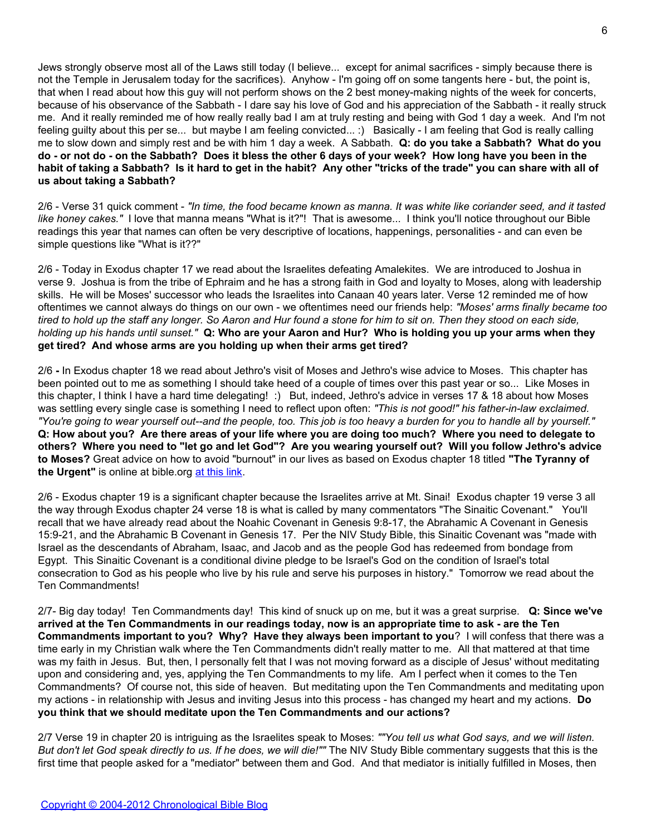Jews strongly observe most all of the Laws still today (I believe... except for animal sacrifices - simply because there is not the Temple in Jerusalem today for the sacrifices). Anyhow - I'm going off on some tangents here - but, the point is, that when I read about how this guy will not perform shows on the 2 best money-making nights of the week for concerts, because of his observance of the Sabbath - I dare say his love of God and his appreciation of the Sabbath - it really struck me. And it really reminded me of how really really bad I am at truly resting and being with God 1 day a week. And I'm not feeling guilty about this per se... but maybe I am feeling convicted... :) Basically - I am feeling that God is really calling me to slow down and simply rest and be with him 1 day a week. A Sabbath. **Q: do you take a Sabbath? What do you do - or not do - on the Sabbath? Does it bless the other 6 days of your week? How long have you been in the habit of taking a Sabbath? Is it hard to get in the habit? Any other "tricks of the trade" you can share with all of us about taking a Sabbath?**

2/6 - Verse 31 quick comment - *"In time, the food became known as manna. It was white like coriander seed, and it tasted like honey cakes."* I love that manna means "What is it?"! That is awesome... I think you'll notice throughout our Bible readings this year that names can often be very descriptive of locations, happenings, personalities - and can even be simple questions like "What is it??"

2/6 - Today in Exodus chapter 17 we read about the Israelites defeating Amalekites. We are introduced to Joshua in verse 9. Joshua is from the tribe of Ephraim and he has a strong faith in God and loyalty to Moses, along with leadership skills. He will be Moses' successor who leads the Israelites into Canaan 40 years later. Verse 12 reminded me of how oftentimes we cannot always do things on our own - we oftentimes need our friends help: *"Moses' arms finally became too tired to hold up the staff any longer. So Aaron and Hur found a stone for him to sit on. Then they stood on each side, holding up his hands until sunset."* **Q: Who are your Aaron and Hur? Who is holding you up your arms when they get tired? And whose arms are you holding up when their arms get tired?**

2/6 **-** In Exodus chapter 18 we read about Jethro's visit of Moses and Jethro's wise advice to Moses. This chapter has been pointed out to me as something I should take heed of a couple of times over this past year or so... Like Moses in this chapter, I think I have a hard time delegating! :) But, indeed, Jethro's advice in verses 17 & 18 about how Moses was settling every single case is something I need to reflect upon often: *"This is not good!" his father-in-law exclaimed. "You're going to wear yourself out--and the people, too. This job is too heavy a burden for you to handle all by yourself."* **Q: How about you? Are there areas of your life where you are doing too much? Where you need to delegate to others? Where you need to "let go and let God"? Are you wearing yourself out? Will you follow Jethro's advice to Moses?** Great advice on how to avoid "burnout" in our lives as based on Exodus chapter 18 titled **"The Tyranny of the Urgent"** is online at bible.org [at this link.](http://blank/)

2/6 - Exodus chapter 19 is a significant chapter because the Israelites arrive at Mt. Sinai! Exodus chapter 19 verse 3 all the way through Exodus chapter 24 verse 18 is what is called by many commentators "The Sinaitic Covenant." You'll recall that we have already read about the Noahic Covenant in Genesis 9:8-17, the Abrahamic A Covenant in Genesis 15:9-21, and the Abrahamic B Covenant in Genesis 17. Per the NIV Study Bible, this Sinaitic Covenant was "made with Israel as the descendants of Abraham, Isaac, and Jacob and as the people God has redeemed from bondage from Egypt. This Sinaitic Covenant is a conditional divine pledge to be Israel's God on the condition of Israel's total consecration to God as his people who live by his rule and serve his purposes in history." Tomorrow we read about the Ten Commandments!

2/7- Big day today! Ten Commandments day! This kind of snuck up on me, but it was a great surprise. **Q: Since we've arrived at the Ten Commandments in our readings today, now is an appropriate time to ask - are the Ten Commandments important to you? Why? Have they always been important to you**? I will confess that there was a time early in my Christian walk where the Ten Commandments didn't really matter to me. All that mattered at that time was my faith in Jesus. But, then, I personally felt that I was not moving forward as a disciple of Jesus' without meditating upon and considering and, yes, applying the Ten Commandments to my life. Am I perfect when it comes to the Ten Commandments? Of course not, this side of heaven. But meditating upon the Ten Commandments and meditating upon my actions - in relationship with Jesus and inviting Jesus into this process - has changed my heart and my actions. **Do you think that we should meditate upon the Ten Commandments and our actions?**

2/7 Verse 19 in chapter 20 is intriguing as the Israelites speak to Moses: *""You tell us what God says, and we will listen. But don't let God speak directly to us. If he does, we will die!""* The NIV Study Bible commentary suggests that this is the first time that people asked for a "mediator" between them and God. And that mediator is initially fulfilled in Moses, then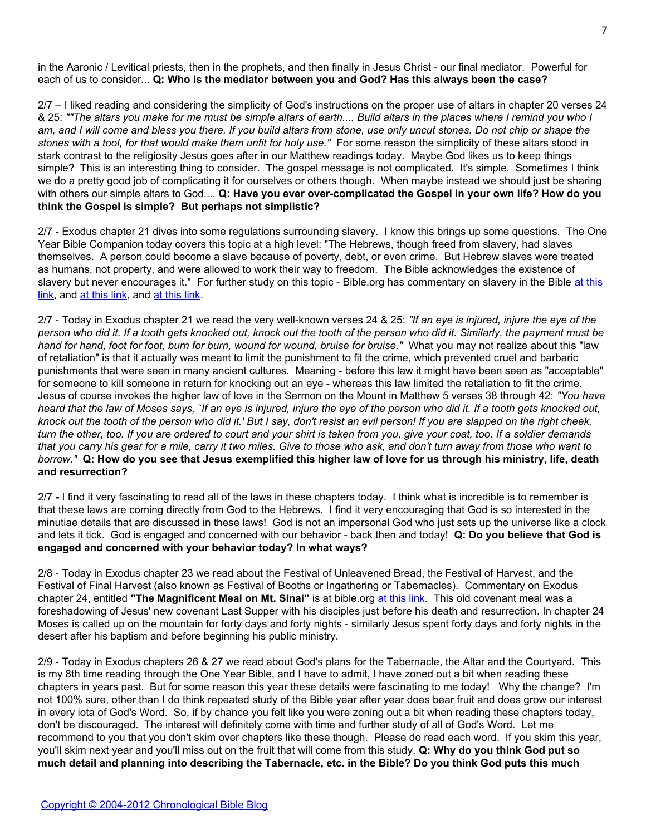in the Aaronic / Levitical priests, then in the prophets, and then finally in Jesus Christ - our final mediator. Powerful for each of us to consider... **Q: Who is the mediator between you and God? Has this always been the case?**

2/7 – I liked reading and considering the simplicity of God's instructions on the proper use of altars in chapter 20 verses 24 & 25: *""The altars you make for me must be simple altars of earth.... Build altars in the places where I remind you who I am, and I will come and bless you there. If you build altars from stone, use only uncut stones. Do not chip or shape the stones with a tool, for that would make them unfit for holy use."* For some reason the simplicity of these altars stood in stark contrast to the religiosity Jesus goes after in our Matthew readings today. Maybe God likes us to keep things simple? This is an interesting thing to consider. The gospel message is not complicated. It's simple. Sometimes I think we do a pretty good job of complicating it for ourselves or others though. When maybe instead we should just be sharing with others our simple altars to God.... **Q: Have you ever over-complicated the Gospel in your own life? How do you think the Gospel is simple? But perhaps not simplistic?**

2/7 - Exodus chapter 21 dives into some regulations surrounding slavery. I know this brings up some questions. The One Year Bible Companion today covers this topic at a high level: "The Hebrews, though freed from slavery, had slaves themselves. A person could become a slave because of poverty, debt, or even crime. But Hebrew slaves were treated as humans, not property, and were allowed to work their way to freedom. The Bible acknowledges the existence of slavery but never encourages it." For further study on this topic - Bible.org has commentary on slavery in the Bible [at this](http://blank/) [link](http://blank/), and [at this link](http://blank/), and [at this link.](http://blank/)

2/7 - Today in Exodus chapter 21 we read the very well-known verses 24 & 25: *"If an eye is injured, injure the eye of the person who did it. If a tooth gets knocked out, knock out the tooth of the person who did it. Similarly, the payment must be hand for hand, foot for foot, burn for burn, wound for wound, bruise for bruise."* What you may not realize about this "law of retaliation" is that it actually was meant to limit the punishment to fit the crime, which prevented cruel and barbaric punishments that were seen in many ancient cultures. Meaning - before this law it might have been seen as "acceptable" for someone to kill someone in return for knocking out an eye - whereas this law limited the retaliation to fit the crime. Jesus of course invokes the higher law of love in the Sermon on the Mount in Matthew 5 verses 38 through 42: *"You have heard that the law of Moses says, `If an eye is injured, injure the eye of the person who did it. If a tooth gets knocked out, knock out the tooth of the person who did it.' But I say, don't resist an evil person! If you are slapped on the right cheek, turn the other, too. If you are ordered to court and your shirt is taken from you, give your coat, too. If a soldier demands that you carry his gear for a mile, carry it two miles. Give to those who ask, and don't turn away from those who want to borrow."* **Q: How do you see that Jesus exemplified this higher law of love for us through his ministry, life, death and resurrection?**

2/7 **-** I find it very fascinating to read all of the laws in these chapters today. I think what is incredible is to remember is that these laws are coming directly from God to the Hebrews. I find it very encouraging that God is so interested in the minutiae details that are discussed in these laws! God is not an impersonal God who just sets up the universe like a clock and lets it tick. God is engaged and concerned with our behavior - back then and today! **Q: Do you believe that God is engaged and concerned with your behavior today? In what ways?**

2/8 - Today in Exodus chapter 23 we read about the Festival of Unleavened Bread, the Festival of Harvest, and the Festival of Final Harvest (also known as Festival of Booths or Ingathering or Tabernacles). Commentary on Exodus chapter 24, entitled **"The Magnificent Meal on Mt. Sinai"** is at bible.org [at this link.](http://blank/) This old covenant meal was a foreshadowing of Jesus' new covenant Last Supper with his disciples just before his death and resurrection. In chapter 24 Moses is called up on the mountain for forty days and forty nights - similarly Jesus spent forty days and forty nights in the desert after his baptism and before beginning his public ministry.

2/9 - Today in Exodus chapters 26 & 27 we read about God's plans for the Tabernacle, the Altar and the Courtyard. This is my 8th time reading through the One Year Bible, and I have to admit, I have zoned out a bit when reading these chapters in years past. But for some reason this year these details were fascinating to me today! Why the change? I'm not 100% sure, other than I do think repeated study of the Bible year after year does bear fruit and does grow our interest in every iota of God's Word. So, if by chance you felt like you were zoning out a bit when reading these chapters today, don't be discouraged. The interest will definitely come with time and further study of all of God's Word. Let me recommend to you that you don't skim over chapters like these though. Please do read each word. If you skim this year, you'll skim next year and you'll miss out on the fruit that will come from this study. **Q: Why do you think God put so much detail and planning into describing the Tabernacle, etc. in the Bible? Do you think God puts this much**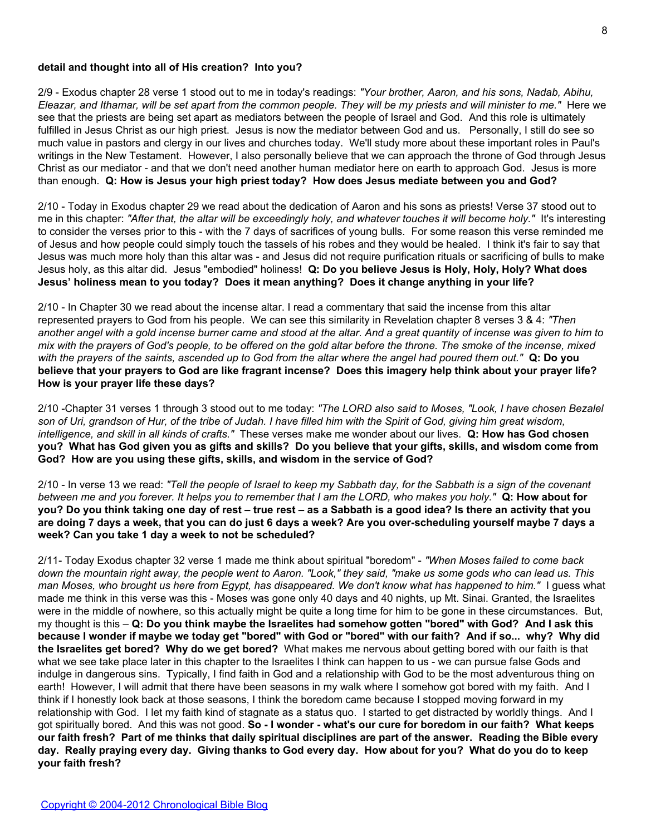#### **detail and thought into all of His creation? Into you?**

2/9 - Exodus chapter 28 verse 1 stood out to me in today's readings: *"Your brother, Aaron, and his sons, Nadab, Abihu, Eleazar, and Ithamar, will be set apart from the common people. They will be my priests and will minister to me."* Here we see that the priests are being set apart as mediators between the people of Israel and God. And this role is ultimately fulfilled in Jesus Christ as our high priest. Jesus is now the mediator between God and us. Personally, I still do see so much value in pastors and clergy in our lives and churches today. We'll study more about these important roles in Paul's writings in the New Testament. However, I also personally believe that we can approach the throne of God through Jesus Christ as our mediator - and that we don't need another human mediator here on earth to approach God. Jesus is more than enough. **Q: How is Jesus your high priest today? How does Jesus mediate between you and God?**

2/10 - Today in Exodus chapter 29 we read about the dedication of Aaron and his sons as priests! Verse 37 stood out to me in this chapter: *"After that, the altar will be exceedingly holy, and whatever touches it will become holy."* It's interesting to consider the verses prior to this - with the 7 days of sacrifices of young bulls. For some reason this verse reminded me of Jesus and how people could simply touch the tassels of his robes and they would be healed. I think it's fair to say that Jesus was much more holy than this altar was - and Jesus did not require purification rituals or sacrificing of bulls to make Jesus holy, as this altar did. Jesus "embodied" holiness! **Q: Do you believe Jesus is Holy, Holy, Holy? What does Jesus' holiness mean to you today? Does it mean anything? Does it change anything in your life?**

2/10 - In Chapter 30 we read about the incense altar. I read a commentary that said the incense from this altar represented prayers to God from his people. We can see this similarity in Revelation chapter 8 verses 3 & 4: *"Then another angel with a gold incense burner came and stood at the altar. And a great quantity of incense was given to him to mix with the prayers of God's people, to be offered on the gold altar before the throne. The smoke of the incense, mixed with the prayers of the saints, ascended up to God from the altar where the angel had poured them out."* **Q: Do you believe that your prayers to God are like fragrant incense? Does this imagery help think about your prayer life? How is your prayer life these days?**

2/10 -Chapter 31 verses 1 through 3 stood out to me today: *"The LORD also said to Moses, "Look, I have chosen Bezalel son of Uri, grandson of Hur, of the tribe of Judah. I have filled him with the Spirit of God, giving him great wisdom, intelligence, and skill in all kinds of crafts."* These verses make me wonder about our lives. **Q: How has God chosen you? What has God given you as gifts and skills? Do you believe that your gifts, skills, and wisdom come from God? How are you using these gifts, skills, and wisdom in the service of God?**

2/10 - In verse 13 we read: *"Tell the people of Israel to keep my Sabbath day, for the Sabbath is a sign of the covenant between me and you forever. It helps you to remember that I am the LORD, who makes you holy."* **Q: How about for you? Do you think taking one day of rest – true rest – as a Sabbath is a good idea? Is there an activity that you are doing 7 days a week, that you can do just 6 days a week? Are you over-scheduling yourself maybe 7 days a week? Can you take 1 day a week to not be scheduled?**

2/11- Today Exodus chapter 32 verse 1 made me think about spiritual "boredom" - *"When Moses failed to come back down the mountain right away, the people went to Aaron. "Look," they said, "make us some gods who can lead us. This man Moses, who brought us here from Egypt, has disappeared. We don't know what has happened to him."* I guess what made me think in this verse was this - Moses was gone only 40 days and 40 nights, up Mt. Sinai. Granted, the Israelites were in the middle of nowhere, so this actually might be quite a long time for him to be gone in these circumstances. But, my thought is this – **Q: Do you think maybe the Israelites had somehow gotten "bored" with God? And I ask this because I wonder if maybe we today get "bored" with God or "bored" with our faith? And if so... why? Why did the Israelites get bored? Why do we get bored?** What makes me nervous about getting bored with our faith is that what we see take place later in this chapter to the Israelites I think can happen to us - we can pursue false Gods and indulge in dangerous sins. Typically, I find faith in God and a relationship with God to be the most adventurous thing on earth! However, I will admit that there have been seasons in my walk where I somehow got bored with my faith. And I think if I honestly look back at those seasons, I think the boredom came because I stopped moving forward in my relationship with God. I let my faith kind of stagnate as a status quo. I started to get distracted by worldly things. And I got spiritually bored. And this was not good. **So - I wonder - what's our cure for boredom in our faith? What keeps our faith fresh? Part of me thinks that daily spiritual disciplines are part of the answer. Reading the Bible every day. Really praying every day. Giving thanks to God every day. How about for you? What do you do to keep your faith fresh?**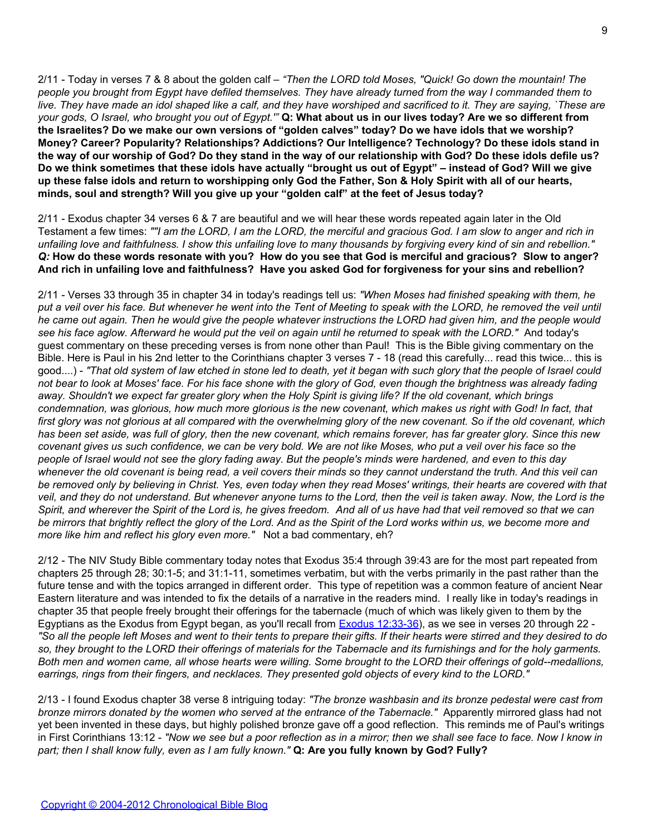2/11 - Today in verses 7 & 8 about the golden calf – *"Then the LORD told Moses, "Quick! Go down the mountain! The people you brought from Egypt have defiled themselves. They have already turned from the way I commanded them to live. They have made an idol shaped like a calf, and they have worshiped and sacrificed to it. They are saying, `These are your gods, O Israel, who brought you out of Egypt.'"* **Q: What about us in our lives today? Are we so different from the Israelites? Do we make our own versions of "golden calves" today? Do we have idols that we worship? Money? Career? Popularity? Relationships? Addictions? Our Intelligence? Technology? Do these idols stand in the way of our worship of God? Do they stand in the way of our relationship with God? Do these idols defile us? Do we think sometimes that these idols have actually "brought us out of Egypt" – instead of God? Will we give up these false idols and return to worshipping only God the Father, Son & Holy Spirit with all of our hearts, minds, soul and strength? Will you give up your "golden calf" at the feet of Jesus today?**

2/11 - Exodus chapter 34 verses 6 & 7 are beautiful and we will hear these words repeated again later in the Old Testament a few times: *""I am the LORD, I am the LORD, the merciful and gracious God. I am slow to anger and rich in unfailing love and faithfulness. I show this unfailing love to many thousands by forgiving every kind of sin and rebellion." Q:* **How do these words resonate with you? How do you see that God is merciful and gracious? Slow to anger? And rich in unfailing love and faithfulness? Have you asked God for forgiveness for your sins and rebellion?**

2/11 - Verses 33 through 35 in chapter 34 in today's readings tell us: *"When Moses had finished speaking with them, he put a veil over his face. But whenever he went into the Tent of Meeting to speak with the LORD, he removed the veil until he came out again. Then he would give the people whatever instructions the LORD had given him, and the people would see his face aglow. Afterward he would put the veil on again until he returned to speak with the LORD."* And today's guest commentary on these preceding verses is from none other than Paul! This is the Bible giving commentary on the Bible. Here is Paul in his 2nd letter to the Corinthians chapter 3 verses 7 - 18 (read this carefully... read this twice... this is good....) - *"That old system of law etched in stone led to death, yet it began with such glory that the people of Israel could not bear to look at Moses' face. For his face shone with the glory of God, even though the brightness was already fading away. Shouldn't we expect far greater glory when the Holy Spirit is giving life? If the old covenant, which brings condemnation, was glorious, how much more glorious is the new covenant, which makes us right with God! In fact, that first glory was not glorious at all compared with the overwhelming glory of the new covenant. So if the old covenant, which has been set aside, was full of glory, then the new covenant, which remains forever, has far greater glory. Since this new covenant gives us such confidence, we can be very bold. We are not like Moses, who put a veil over his face so the people of Israel would not see the glory fading away. But the people's minds were hardened, and even to this day whenever the old covenant is being read, a veil covers their minds so they cannot understand the truth. And this veil can be removed only by believing in Christ. Yes, even today when they read Moses' writings, their hearts are covered with that veil, and they do not understand. But whenever anyone turns to the Lord, then the veil is taken away. Now, the Lord is the Spirit, and wherever the Spirit of the Lord is, he gives freedom. And all of us have had that veil removed so that we can be mirrors that brightly reflect the glory of the Lord. And as the Spirit of the Lord works within us, we become more and more like him and reflect his glory even more."* Not a bad commentary, eh?

2/12 - The NIV Study Bible commentary today notes that Exodus 35:4 through 39:43 are for the most part repeated from chapters 25 through 28; 30:1-5; and 31:1-11, sometimes verbatim, but with the verbs primarily in the past rather than the future tense and with the topics arranged in different order. This type of repetition was a common feature of ancient Near Eastern literature and was intended to fix the details of a narrative in the readers mind. I really like in today's readings in chapter 35 that people freely brought their offerings for the tabernacle (much of which was likely given to them by the Egyptians as the Exodus from Egypt began, as you'll recall from [Exodus 12:33-36\)](http://www.biblegateway.com/passage/?search=Exodus%2012:33-36), as we see in verses 20 through 22 -*"So all the people left Moses and went to their tents to prepare their gifts. If their hearts were stirred and they desired to do so, they brought to the LORD their offerings of materials for the Tabernacle and its furnishings and for the holy garments. Both men and women came, all whose hearts were willing. Some brought to the LORD their offerings of gold--medallions, earrings, rings from their fingers, and necklaces. They presented gold objects of every kind to the LORD."*

2/13 - I found Exodus chapter 38 verse 8 intriguing today: *"The bronze washbasin and its bronze pedestal were cast from bronze mirrors donated by the women who served at the entrance of the Tabernacle."* Apparently mirrored glass had not yet been invented in these days, but highly polished bronze gave off a good reflection. This reminds me of Paul's writings in First Corinthians 13:12 - *"Now we see but a poor reflection as in a mirror; then we shall see face to face. Now I know in part; then I shall know fully, even as I am fully known."* **Q: Are you fully known by God? Fully?**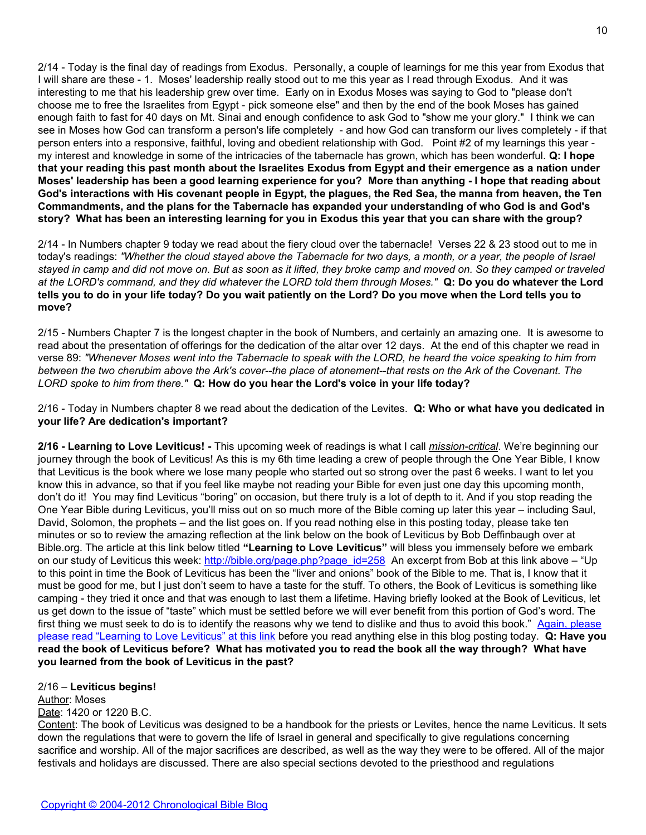2/14 - Today is the final day of readings from Exodus. Personally, a couple of learnings for me this year from Exodus that I will share are these - 1. Moses' leadership really stood out to me this year as I read through Exodus. And it was interesting to me that his leadership grew over time. Early on in Exodus Moses was saying to God to "please don't choose me to free the Israelites from Egypt - pick someone else" and then by the end of the book Moses has gained enough faith to fast for 40 days on Mt. Sinai and enough confidence to ask God to "show me your glory." I think we can see in Moses how God can transform a person's life completely - and how God can transform our lives completely - if that person enters into a responsive, faithful, loving and obedient relationship with God. Point #2 of my learnings this year my interest and knowledge in some of the intricacies of the tabernacle has grown, which has been wonderful. **Q: I hope that your reading this past month about the Israelites Exodus from Egypt and their emergence as a nation under Moses' leadership has been a good learning experience for you? More than anything - I hope that reading about God's interactions with His covenant people in Egypt, the plagues, the Red Sea, the manna from heaven, the Ten Commandments, and the plans for the Tabernacle has expanded your understanding of who God is and God's story? What has been an interesting learning for you in Exodus this year that you can share with the group?**

2/14 - In Numbers chapter 9 today we read about the fiery cloud over the tabernacle! Verses 22 & 23 stood out to me in today's readings: *"Whether the cloud stayed above the Tabernacle for two days, a month, or a year, the people of Israel stayed in camp and did not move on. But as soon as it lifted, they broke camp and moved on. So they camped or traveled at the LORD's command, and they did whatever the LORD told them through Moses."* **Q: Do you do whatever the Lord tells you to do in your life today? Do you wait patiently on the Lord? Do you move when the Lord tells you to move?**

2/15 - Numbers Chapter 7 is the longest chapter in the book of Numbers, and certainly an amazing one. It is awesome to read about the presentation of offerings for the dedication of the altar over 12 days. At the end of this chapter we read in verse 89: *"Whenever Moses went into the Tabernacle to speak with the LORD, he heard the voice speaking to him from between the two cherubim above the Ark's cover--the place of atonement--that rests on the Ark of the Covenant. The LORD spoke to him from there."* **Q: How do you hear the Lord's voice in your life today?**

2/16 - Today in Numbers chapter 8 we read about the dedication of the Levites. **Q: Who or what have you dedicated in your life? Are dedication's important?**

**2/16 - Learning to Love Leviticus! -** This upcoming week of readings is what I call *mission-critical*. We're beginning our journey through the book of Leviticus! As this is my 6th time leading a crew of people through the One Year Bible, I know that Leviticus is the book where we lose many people who started out so strong over the past 6 weeks. I want to let you know this in advance, so that if you feel like maybe not reading your Bible for even just one day this upcoming month, don't do it! You may find Leviticus "boring" on occasion, but there truly is a lot of depth to it. And if you stop reading the One Year Bible during Leviticus, you'll miss out on so much more of the Bible coming up later this year – including Saul, David, Solomon, the prophets – and the list goes on. If you read nothing else in this posting today, please take ten minutes or so to review the amazing reflection at the link below on the book of Leviticus by Bob Deffinbaugh over at Bible.org. The article at this link below titled **"Learning to Love Leviticus"** will bless you immensely before we embark on our study of Leviticus this week: [http://bible.org/page.php?page\\_id=258](http://blank/) An excerpt from Bob at this link above – "Up to this point in time the Book of Leviticus has been the "liver and onions" book of the Bible to me. That is, I know that it must be good for me, but I just don't seem to have a taste for the stuff. To others, the Book of Leviticus is something like camping - they tried it once and that was enough to last them a lifetime. Having briefly looked at the Book of Leviticus, let us get down to the issue of "taste" which must be settled before we will ever benefit from this portion of God's word. The first thing we must seek to do is to identify the reasons why we tend to dislike and thus to avoid this book." [Again, please](http://blank/) [please read "Learning to Love Leviticus" at this link](http://blank/) before you read anything else in this blog posting today. **Q: Have you read the book of Leviticus before? What has motivated you to read the book all the way through? What have you learned from the book of Leviticus in the past?**

2/16 – **Leviticus begins!**

Author: Moses

Date: 1420 or 1220 B.C.

Content: The book of Leviticus was designed to be a handbook for the priests or Levites, hence the name Leviticus. It sets down the regulations that were to govern the life of Israel in general and specifically to give regulations concerning sacrifice and worship. All of the major sacrifices are described, as well as the way they were to be offered. All of the major festivals and holidays are discussed. There are also special sections devoted to the priesthood and regulations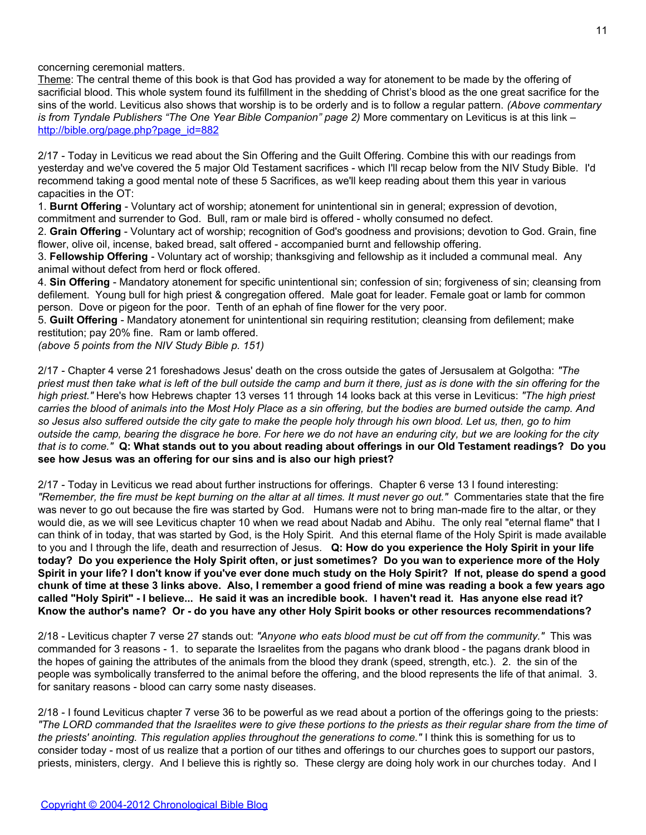concerning ceremonial matters.

Theme: The central theme of this book is that God has provided a way for atonement to be made by the offering of sacrificial blood. This whole system found its fulfillment in the shedding of Christ's blood as the one great sacrifice for the sins of the world. Leviticus also shows that worship is to be orderly and is to follow a regular pattern. *(Above commentary is from Tyndale Publishers "The One Year Bible Companion" page 2)* More commentary on Leviticus is at this link – [http://bible.org/page.php?page\\_id=882](http://blank/)

2/17 - Today in Leviticus we read about the Sin Offering and the Guilt Offering. Combine this with our readings from yesterday and we've covered the 5 major Old Testament sacrifices - which I'll recap below from the NIV Study Bible. I'd recommend taking a good mental note of these 5 Sacrifices, as we'll keep reading about them this year in various capacities in the OT:

1. **Burnt Offering** - Voluntary act of worship; atonement for unintentional sin in general; expression of devotion, commitment and surrender to God. Bull, ram or male bird is offered - wholly consumed no defect.

2. **Grain Offering** - Voluntary act of worship; recognition of God's goodness and provisions; devotion to God. Grain, fine flower, olive oil, incense, baked bread, salt offered - accompanied burnt and fellowship offering.

3. **Fellowship Offering** - Voluntary act of worship; thanksgiving and fellowship as it included a communal meal. Any animal without defect from herd or flock offered.

4. **Sin Offering** - Mandatory atonement for specific unintentional sin; confession of sin; forgiveness of sin; cleansing from defilement. Young bull for high priest & congregation offered. Male goat for leader. Female goat or lamb for common person. Dove or pigeon for the poor. Tenth of an ephah of fine flower for the very poor.

5. **Guilt Offering** - Mandatory atonement for unintentional sin requiring restitution; cleansing from defilement; make restitution; pay 20% fine. Ram or lamb offered.

*(above 5 points from the NIV Study Bible p. 151)*

2/17 - Chapter 4 verse 21 foreshadows Jesus' death on the cross outside the gates of Jersusalem at Golgotha: *"The priest must then take what is left of the bull outside the camp and burn it there, just as is done with the sin offering for the high priest."* Here's how Hebrews chapter 13 verses 11 through 14 looks back at this verse in Leviticus: *"The high priest carries the blood of animals into the Most Holy Place as a sin offering, but the bodies are burned outside the camp. And so Jesus also suffered outside the city gate to make the people holy through his own blood. Let us, then, go to him outside the camp, bearing the disgrace he bore. For here we do not have an enduring city, but we are looking for the city that is to come."* **Q: What stands out to you about reading about offerings in our Old Testament readings? Do you see how Jesus was an offering for our sins and is also our high priest?**

2/17 - Today in Leviticus we read about further instructions for offerings. Chapter 6 verse 13 I found interesting: *"Remember, the fire must be kept burning on the altar at all times. It must never go out."* Commentaries state that the fire was never to go out because the fire was started by God. Humans were not to bring man-made fire to the altar, or they would die, as we will see Leviticus chapter 10 when we read about Nadab and Abihu. The only real "eternal flame" that I can think of in today, that was started by God, is the Holy Spirit. And this eternal flame of the Holy Spirit is made available to you and I through the life, death and resurrection of Jesus. **Q: How do you experience the Holy Spirit in your life today? Do you experience the Holy Spirit often, or just sometimes? Do you wan to experience more of the Holy Spirit in your life? I don't know if you've ever done much study on the Holy Spirit? If not, please do spend a good chunk of time at these 3 links above. Also, I remember a good friend of mine was reading a book a few years ago called "Holy Spirit" - I believe... He said it was an incredible book. I haven't read it. Has anyone else read it? Know the author's name? Or - do you have any other Holy Spirit books or other resources recommendations?**

2/18 - Leviticus chapter 7 verse 27 stands out: *"Anyone who eats blood must be cut off from the community."* This was commanded for 3 reasons - 1. to separate the Israelites from the pagans who drank blood - the pagans drank blood in the hopes of gaining the attributes of the animals from the blood they drank (speed, strength, etc.). 2. the sin of the people was symbolically transferred to the animal before the offering, and the blood represents the life of that animal. 3. for sanitary reasons - blood can carry some nasty diseases.

2/18 - I found Leviticus chapter 7 verse 36 to be powerful as we read about a portion of the offerings going to the priests: *"The LORD commanded that the Israelites were to give these portions to the priests as their regular share from the time of the priests' anointing. This regulation applies throughout the generations to come."* I think this is something for us to consider today - most of us realize that a portion of our tithes and offerings to our churches goes to support our pastors, priests, ministers, clergy. And I believe this is rightly so. These clergy are doing holy work in our churches today. And I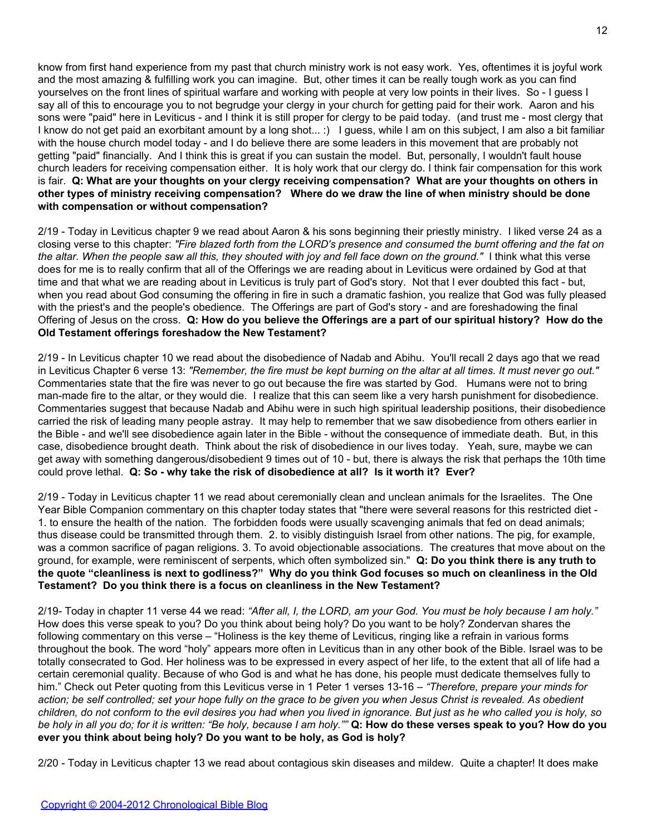know from first hand experience from my past that church ministry work is not easy work. Yes, oftentimes it is joyful work and the most amazing & fulfilling work you can imagine. But, other times it can be really tough work as you can find yourselves on the front lines of spiritual warfare and working with people at very low points in their lives. So - I guess I say all of this to encourage you to not begrudge your clergy in your church for getting paid for their work. Aaron and his sons were "paid" here in Leviticus - and I think it is still proper for clergy to be paid today. (and trust me - most clergy that I know do not get paid an exorbitant amount by a long shot... :) I guess, while I am on this subject, I am also a bit familiar with the house church model today - and I do believe there are some leaders in this movement that are probably not getting "paid" financially. And I think this is great if you can sustain the model. But, personally, I wouldn't fault house church leaders for receiving compensation either. It is holy work that our clergy do. I think fair compensation for this work is fair. **Q: What are your thoughts on your clergy receiving compensation? What are your thoughts on others in other types of ministry receiving compensation? Where do we draw the line of when ministry should be done with compensation or without compensation?**

2/19 - Today in Leviticus chapter 9 we read about Aaron & his sons beginning their priestly ministry. I liked verse 24 as a closing verse to this chapter: *"Fire blazed forth from the LORD's presence and consumed the burnt offering and the fat on the altar. When the people saw all this, they shouted with joy and fell face down on the ground."* I think what this verse does for me is to really confirm that all of the Offerings we are reading about in Leviticus were ordained by God at that time and that what we are reading about in Leviticus is truly part of God's story. Not that I ever doubted this fact - but, when you read about God consuming the offering in fire in such a dramatic fashion, you realize that God was fully pleased with the priest's and the people's obedience. The Offerings are part of God's story - and are foreshadowing the final Offering of Jesus on the cross. **Q: How do you believe the Offerings are a part of our spiritual history? How do the Old Testament offerings foreshadow the New Testament?**

2/19 - In Leviticus chapter 10 we read about the disobedience of Nadab and Abihu. You'll recall 2 days ago that we read in Leviticus Chapter 6 verse 13: *"Remember, the fire must be kept burning on the altar at all times. It must never go out."* Commentaries state that the fire was never to go out because the fire was started by God. Humans were not to bring man-made fire to the altar, or they would die. I realize that this can seem like a very harsh punishment for disobedience. Commentaries suggest that because Nadab and Abihu were in such high spiritual leadership positions, their disobedience carried the risk of leading many people astray. It may help to remember that we saw disobedience from others earlier in the Bible - and we'll see disobedience again later in the Bible - without the consequence of immediate death. But, in this case, disobedience brought death. Think about the risk of disobedience in our lives today. Yeah, sure, maybe we can get away with something dangerous/disobedient 9 times out of 10 - but, there is always the risk that perhaps the 10th time could prove lethal. **Q: So - why take the risk of disobedience at all? Is it worth it? Ever?**

2/19 - Today in Leviticus chapter 11 we read about ceremonially clean and unclean animals for the Israelites. The One Year Bible Companion commentary on this chapter today states that "there were several reasons for this restricted diet - 1. to ensure the health of the nation. The forbidden foods were usually scavenging animals that fed on dead animals; thus disease could be transmitted through them. 2. to visibly distinguish Israel from other nations. The pig, for example, was a common sacrifice of pagan religions. 3. To avoid objectionable associations. The creatures that move about on the ground, for example, were reminiscent of serpents, which often symbolized sin." **Q: Do you think there is any truth to the quote "cleanliness is next to godliness?" Why do you think God focuses so much on cleanliness in the Old Testament? Do you think there is a focus on cleanliness in the New Testament?**

2/19- Today in chapter 11 verse 44 we read: *"After all, I, the LORD, am your God. You must be holy because I am holy."* How does this verse speak to you? Do you think about being holy? Do you want to be holy? Zondervan shares the following commentary on this verse – "Holiness is the key theme of Leviticus, ringing like a refrain in various forms throughout the book. The word "holy" appears more often in Leviticus than in any other book of the Bible. Israel was to be totally consecrated to God. Her holiness was to be expressed in every aspect of her life, to the extent that all of life had a certain ceremonial quality. Because of who God is and what he has done, his people must dedicate themselves fully to him." Check out Peter quoting from this Leviticus verse in 1 Peter 1 verses 13-16 – *"Therefore, prepare your minds for action; be self controlled; set your hope fully on the grace to be given you when Jesus Christ is revealed. As obedient children, do not conform to the evil desires you had when you lived in ignorance. But just as he who called you is holy, so be holy in all you do; for it is written: "Be holy, because I am holy.""* **Q: How do these verses speak to you? How do you ever you think about being holy? Do you want to be holy, as God is holy?**

2/20 - Today in Leviticus chapter 13 we read about contagious skin diseases and mildew. Quite a chapter! It does make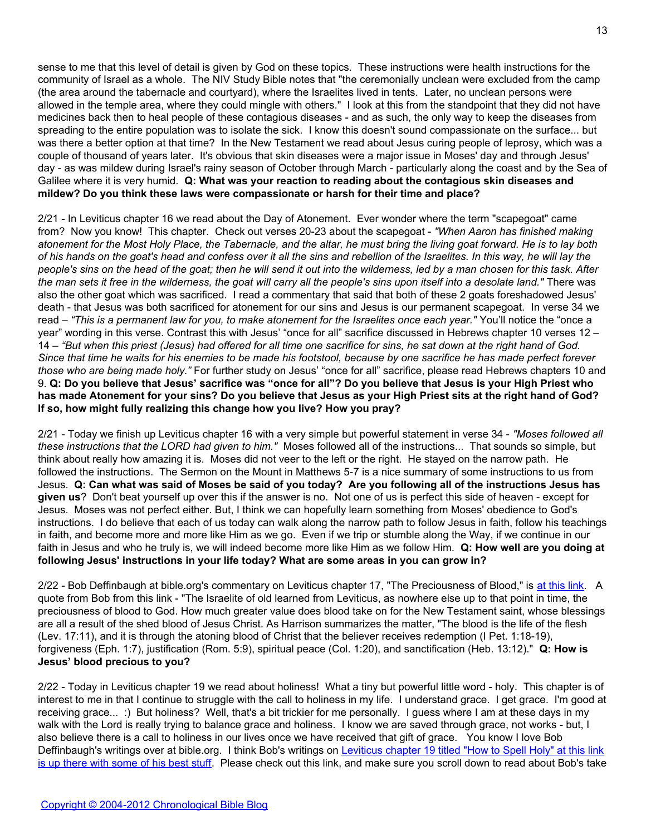sense to me that this level of detail is given by God on these topics. These instructions were health instructions for the community of Israel as a whole. The NIV Study Bible notes that "the ceremonially unclean were excluded from the camp (the area around the tabernacle and courtyard), where the Israelites lived in tents. Later, no unclean persons were allowed in the temple area, where they could mingle with others." I look at this from the standpoint that they did not have medicines back then to heal people of these contagious diseases - and as such, the only way to keep the diseases from spreading to the entire population was to isolate the sick. I know this doesn't sound compassionate on the surface... but was there a better option at that time? In the New Testament we read about Jesus curing people of leprosy, which was a couple of thousand of years later. It's obvious that skin diseases were a major issue in Moses' day and through Jesus' day - as was mildew during Israel's rainy season of October through March - particularly along the coast and by the Sea of Galilee where it is very humid. **Q: What was your reaction to reading about the contagious skin diseases and mildew? Do you think these laws were compassionate or harsh for their time and place?**

2/21 - In Leviticus chapter 16 we read about the Day of Atonement. Ever wonder where the term "scapegoat" came from? Now you know! This chapter. Check out verses 20-23 about the scapegoat - *"When Aaron has finished making atonement for the Most Holy Place, the Tabernacle, and the altar, he must bring the living goat forward. He is to lay both of his hands on the goat's head and confess over it all the sins and rebellion of the Israelites. In this way, he will lay the people's sins on the head of the goat; then he will send it out into the wilderness, led by a man chosen for this task. After the man sets it free in the wilderness, the goat will carry all the people's sins upon itself into a desolate land."* There was also the other goat which was sacrificed. I read a commentary that said that both of these 2 goats foreshadowed Jesus' death - that Jesus was both sacrificed for atonement for our sins and Jesus is our permanent scapegoat. In verse 34 we read – *"This is a permanent law for you, to make atonement for the Israelites once each year."* You'll notice the "once a year" wording in this verse. Contrast this with Jesus' "once for all" sacrifice discussed in Hebrews chapter 10 verses 12 – 14 – *"But when this priest (Jesus) had offered for all time one sacrifice for sins, he sat down at the right hand of God. Since that time he waits for his enemies to be made his footstool, because by one sacrifice he has made perfect forever those who are being made holy."* For further study on Jesus' "once for all" sacrifice, please read Hebrews chapters 10 and 9. **Q: Do you believe that Jesus' sacrifice was "once for all"? Do you believe that Jesus is your High Priest who has made Atonement for your sins? Do you believe that Jesus as your High Priest sits at the right hand of God? If so, how might fully realizing this change how you live? How you pray?**

2/21 - Today we finish up Leviticus chapter 16 with a very simple but powerful statement in verse 34 - *"Moses followed all these instructions that the LORD had given to him."* Moses followed all of the instructions... That sounds so simple, but think about really how amazing it is. Moses did not veer to the left or the right. He stayed on the narrow path. He followed the instructions. The Sermon on the Mount in Matthews 5-7 is a nice summary of some instructions to us from Jesus. **Q: Can what was said of Moses be said of you today? Are you following all of the instructions Jesus has given us**? Don't beat yourself up over this if the answer is no. Not one of us is perfect this side of heaven - except for Jesus. Moses was not perfect either. But, I think we can hopefully learn something from Moses' obedience to God's instructions. I do believe that each of us today can walk along the narrow path to follow Jesus in faith, follow his teachings in faith, and become more and more like Him as we go. Even if we trip or stumble along the Way, if we continue in our faith in Jesus and who he truly is, we will indeed become more like Him as we follow Him. **Q: How well are you doing at following Jesus' instructions in your life today? What are some areas in you can grow in?**

2/22 - Bob Deffinbaugh at bible.org's commentary on Leviticus chapter 17, "The Preciousness of Blood," is [at this link.](http://blank/) A quote from Bob from this link - "The Israelite of old learned from Leviticus, as nowhere else up to that point in time, the preciousness of blood to God. How much greater value does blood take on for the New Testament saint, whose blessings are all a result of the shed blood of Jesus Christ. As Harrison summarizes the matter, "The blood is the life of the flesh (Lev. 17:11), and it is through the atoning blood of Christ that the believer receives redemption (I Pet. 1:18-19), forgiveness (Eph. 1:7), justification (Rom. 5:9), spiritual peace (Col. 1:20), and sanctification (Heb. 13:12)." **Q: How is Jesus' blood precious to you?**

2/22 - Today in Leviticus chapter 19 we read about holiness! What a tiny but powerful little word - holy. This chapter is of interest to me in that I continue to struggle with the call to holiness in my life. I understand grace. I get grace. I'm good at receiving grace... :) But holiness? Well, that's a bit trickier for me personally. I guess where I am at these days in my walk with the Lord is really trying to balance grace and holiness. I know we are saved through grace, not works - but, I also believe there is a call to holiness in our lives once we have received that gift of grace. You know I love Bob Deffinbaugh's writings over at bible.org. I think Bob's writings on [Leviticus chapter 19 titled "How to Spell Holy" at this link](http://blank/) [is up there with some of his best stuff.](http://blank/) Please check out this link, and make sure you scroll down to read about Bob's take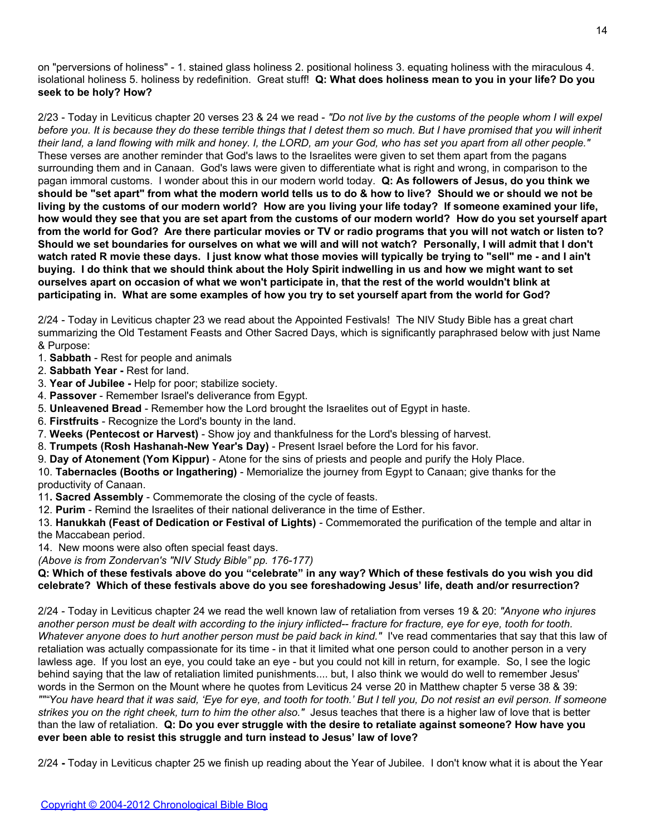on "perversions of holiness" - 1. stained glass holiness 2. positional holiness 3. equating holiness with the miraculous 4. isolational holiness 5. holiness by redefinition. Great stuff! **Q: What does holiness mean to you in your life? Do you seek to be holy? How?**

2/23 - Today in Leviticus chapter 20 verses 23 & 24 we read - *"Do not live by the customs of the people whom I will expel before you. It is because they do these terrible things that I detest them so much. But I have promised that you will inherit their land, a land flowing with milk and honey. I, the LORD, am your God, who has set you apart from all other people."* These verses are another reminder that God's laws to the Israelites were given to set them apart from the pagans surrounding them and in Canaan. God's laws were given to differentiate what is right and wrong, in comparison to the pagan immoral customs. I wonder about this in our modern world today. **Q: As followers of Jesus, do you think we should be "set apart" from what the modern world tells us to do & how to live? Should we or should we not be living by the customs of our modern world? How are you living your life today? If someone examined your life, how would they see that you are set apart from the customs of our modern world? How do you set yourself apart from the world for God? Are there particular movies or TV or radio programs that you will not watch or listen to? Should we set boundaries for ourselves on what we will and will not watch? Personally, I will admit that I don't watch rated R movie these days. I just know what those movies will typically be trying to "sell" me - and I ain't buying. I do think that we should think about the Holy Spirit indwelling in us and how we might want to set ourselves apart on occasion of what we won't participate in, that the rest of the world wouldn't blink at participating in. What are some examples of how you try to set yourself apart from the world for God?**

2/24 - Today in Leviticus chapter 23 we read about the Appointed Festivals! The NIV Study Bible has a great chart summarizing the Old Testament Feasts and Other Sacred Days, which is significantly paraphrased below with just Name & Purpose:

1. **Sabbath** - Rest for people and animals

2. **Sabbath Year -** Rest for land.

3. **Year of Jubilee -** Help for poor; stabilize society.

4. **Passover** - Remember Israel's deliverance from Egypt.

5. **Unleavened Bread** - Remember how the Lord brought the Israelites out of Egypt in haste.

6. **Firstfruits** - Recognize the Lord's bounty in the land.

7. **Weeks (Pentecost or Harvest)** - Show joy and thankfulness for the Lord's blessing of harvest.

8. **Trumpets (Rosh Hashanah-New Year's Day)** - Present Israel before the Lord for his favor.

9. **Day of Atonement (Yom Kippur)** - Atone for the sins of priests and people and purify the Holy Place.

10. **Tabernacles (Booths or Ingathering)** - Memorialize the journey from Egypt to Canaan; give thanks for the productivity of Canaan.

11**. Sacred Assembly** - Commemorate the closing of the cycle of feasts.

12. **Purim** - Remind the Israelites of their national deliverance in the time of Esther.

13. **Hanukkah (Feast of Dedication or Festival of Lights)** - Commemorated the purification of the temple and altar in the Maccabean period.

14. New moons were also often special feast days.

*(Above is from Zondervan's "NIV Study Bible" pp. 176-177)*

**Q: Which of these festivals above do you "celebrate" in any way? Which of these festivals do you wish you did celebrate? Which of these festivals above do you see foreshadowing Jesus' life, death and/or resurrection?**

2/24 - Today in Leviticus chapter 24 we read the well known law of retaliation from verses 19 & 20: *"Anyone who injures another person must be dealt with according to the injury inflicted-- fracture for fracture, eye for eye, tooth for tooth. Whatever anyone does to hurt another person must be paid back in kind."* I've read commentaries that say that this law of retaliation was actually compassionate for its time - in that it limited what one person could to another person in a very lawless age. If you lost an eye, you could take an eye - but you could not kill in return, for example. So, I see the logic behind saying that the law of retaliation limited punishments.... but, I also think we would do well to remember Jesus' words in the Sermon on the Mount where he quotes from Leviticus 24 verse 20 in Matthew chapter 5 verse 38 & 39: *"""You have heard that it was said, 'Eye for eye, and tooth for tooth.' But I tell you, Do not resist an evil person. If someone strikes you on the right cheek, turn to him the other also."* Jesus teaches that there is a higher law of love that is better than the law of retaliation. **Q: Do you ever struggle with the desire to retaliate against someone? How have you ever been able to resist this struggle and turn instead to Jesus' law of love?**

2/24 **-** Today in Leviticus chapter 25 we finish up reading about the Year of Jubilee. I don't know what it is about the Year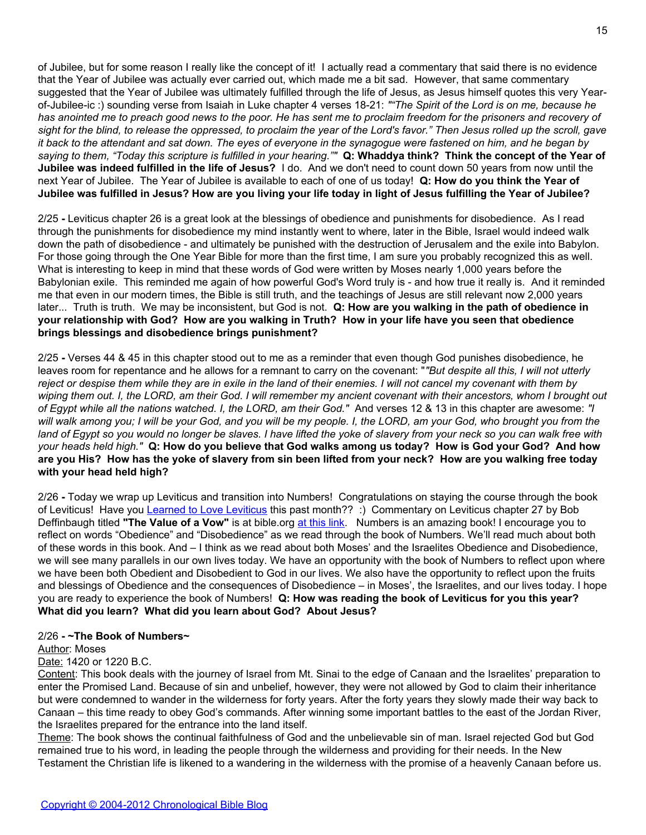of Jubilee, but for some reason I really like the concept of it! I actually read a commentary that said there is no evidence that the Year of Jubilee was actually ever carried out, which made me a bit sad. However, that same commentary suggested that the Year of Jubilee was ultimately fulfilled through the life of Jesus, as Jesus himself quotes this very Yearof-Jubilee-ic :) sounding verse from Isaiah in Luke chapter 4 verses 18-21: *""The Spirit of the Lord is on me, because he has anointed me to preach good news to the poor. He has sent me to proclaim freedom for the prisoners and recovery of sight for the blind, to release the oppressed, to proclaim the year of the Lord's favor." Then Jesus rolled up the scroll, gave it back to the attendant and sat down. The eyes of everyone in the synagogue were fastened on him, and he began by saying to them, "Today this scripture is fulfilled in your hearing.""* **Q: Whaddya think? Think the concept of the Year of Jubilee was indeed fulfilled in the life of Jesus?** I do. And we don't need to count down 50 years from now until the next Year of Jubilee. The Year of Jubilee is available to each of one of us today! **Q: How do you think the Year of Jubilee was fulfilled in Jesus? How are you living your life today in light of Jesus fulfilling the Year of Jubilee?**

2/25 **-** Leviticus chapter 26 is a great look at the blessings of obedience and punishments for disobedience. As I read through the punishments for disobedience my mind instantly went to where, later in the Bible, Israel would indeed walk down the path of disobedience - and ultimately be punished with the destruction of Jerusalem and the exile into Babylon. For those going through the One Year Bible for more than the first time, I am sure you probably recognized this as well. What is interesting to keep in mind that these words of God were written by Moses nearly 1,000 years before the Babylonian exile. This reminded me again of how powerful God's Word truly is - and how true it really is. And it reminded me that even in our modern times, the Bible is still truth, and the teachings of Jesus are still relevant now 2,000 years later... Truth is truth. We may be inconsistent, but God is not. **Q: How are you walking in the path of obedience in your relationship with God? How are you walking in Truth? How in your life have you seen that obedience brings blessings and disobedience brings punishment?**

2/25 **-** Verses 44 & 45 in this chapter stood out to me as a reminder that even though God punishes disobedience, he leaves room for repentance and he allows for a remnant to carry on the covenant: "*"But despite all this, I will not utterly reject or despise them while they are in exile in the land of their enemies. I will not cancel my covenant with them by wiping them out. I, the LORD, am their God. I will remember my ancient covenant with their ancestors, whom I brought out of Egypt while all the nations watched. I, the LORD, am their God."* And verses 12 & 13 in this chapter are awesome: *"I will walk among you; I will be your God, and you will be my people. I, the LORD, am your God, who brought you from the land of Egypt so you would no longer be slaves. I have lifted the yoke of slavery from your neck so you can walk free with your heads held high."* **Q: How do you believe that God walks among us today? How is God your God? And how are you His? How has the yoke of slavery from sin been lifted from your neck? How are you walking free today with your head held high?**

2/26 **-** Today we wrap up Leviticus and transition into Numbers! Congratulations on staying the course through the book of Leviticus! Have you [Learned to Love Leviticus](http://blank/) this past month?? :) Commentary on Leviticus chapter 27 by Bob Deffinbaugh titled **"The Value of a Vow"** is at bible.org [at this link.](http://blank/) Numbers is an amazing book! I encourage you to reflect on words "Obedience" and "Disobedience" as we read through the book of Numbers. We'll read much about both of these words in this book. And – I think as we read about both Moses' and the Israelites Obedience and Disobedience, we will see many parallels in our own lives today. We have an opportunity with the book of Numbers to reflect upon where we have been both Obedient and Disobedient to God in our lives. We also have the opportunity to reflect upon the fruits and blessings of Obedience and the consequences of Disobedience – in Moses', the Israelites, and our lives today. I hope you are ready to experience the book of Numbers! **Q: How was reading the book of Leviticus for you this year? What did you learn? What did you learn about God? About Jesus?**

#### 2/26 **- ~The Book of Numbers~**

Author: Moses

# Date: 1420 or 1220 B.C.

Content: This book deals with the journey of Israel from Mt. Sinai to the edge of Canaan and the Israelites' preparation to enter the Promised Land. Because of sin and unbelief, however, they were not allowed by God to claim their inheritance but were condemned to wander in the wilderness for forty years. After the forty years they slowly made their way back to Canaan – this time ready to obey God's commands. After winning some important battles to the east of the Jordan River, the Israelites prepared for the entrance into the land itself.

Theme: The book shows the continual faithfulness of God and the unbelievable sin of man. Israel rejected God but God remained true to his word, in leading the people through the wilderness and providing for their needs. In the New Testament the Christian life is likened to a wandering in the wilderness with the promise of a heavenly Canaan before us.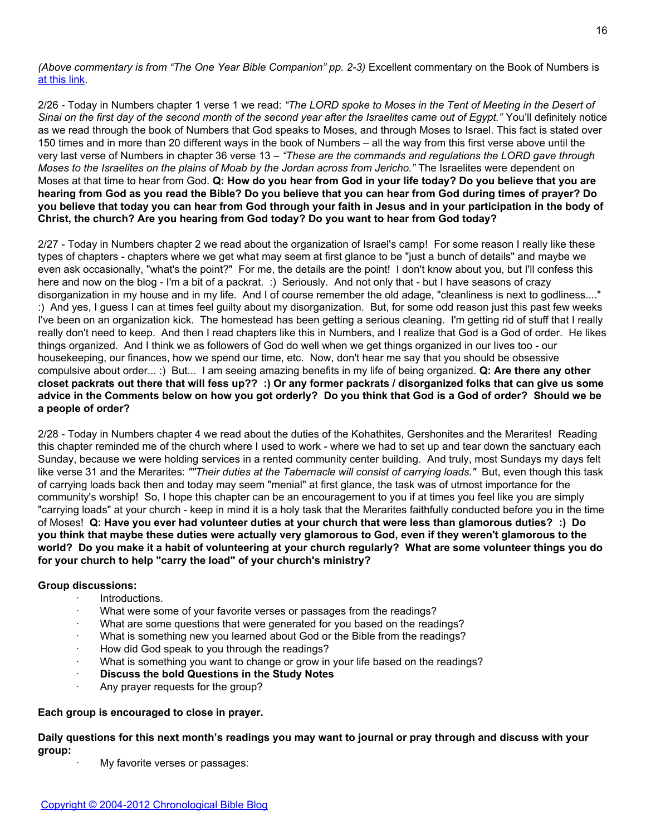*(Above commentary is from "The One Year Bible Companion" pp. 2-3)* Excellent commentary on the Book of Numbers is [at this link](http://blank/).

2/26 - Today in Numbers chapter 1 verse 1 we read: *"The LORD spoke to Moses in the Tent of Meeting in the Desert of Sinai on the first day of the second month of the second year after the Israelites came out of Egypt."* You'll definitely notice as we read through the book of Numbers that God speaks to Moses, and through Moses to Israel. This fact is stated over 150 times and in more than 20 different ways in the book of Numbers – all the way from this first verse above until the very last verse of Numbers in chapter 36 verse 13 – *"These are the commands and regulations the LORD gave through Moses to the Israelites on the plains of Moab by the Jordan across from Jericho."* The Israelites were dependent on Moses at that time to hear from God. **Q: How do you hear from God in your life today? Do you believe that you are hearing from God as you read the Bible? Do you believe that you can hear from God during times of prayer? Do you believe that today you can hear from God through your faith in Jesus and in your participation in the body of Christ, the church? Are you hearing from God today? Do you want to hear from God today?**

2/27 - Today in Numbers chapter 2 we read about the organization of Israel's camp! For some reason I really like these types of chapters - chapters where we get what may seem at first glance to be "just a bunch of details" and maybe we even ask occasionally, "what's the point?" For me, the details are the point! I don't know about you, but I'll confess this here and now on the blog - I'm a bit of a packrat. :) Seriously. And not only that - but I have seasons of crazy disorganization in my house and in my life. And I of course remember the old adage, "cleanliness is next to godliness...." :) And yes, I guess I can at times feel guilty about my disorganization. But, for some odd reason just this past few weeks I've been on an organization kick. The homestead has been getting a serious cleaning. I'm getting rid of stuff that I really really don't need to keep. And then I read chapters like this in Numbers, and I realize that God is a God of order. He likes things organized. And I think we as followers of God do well when we get things organized in our lives too - our housekeeping, our finances, how we spend our time, etc. Now, don't hear me say that you should be obsessive compulsive about order... :) But... I am seeing amazing benefits in my life of being organized. **Q: Are there any other closet packrats out there that will fess up?? :) Or any former packrats / disorganized folks that can give us some advice in the Comments below on how you got orderly? Do you think that God is a God of order? Should we be a people of order?**

2/28 - Today in Numbers chapter 4 we read about the duties of the Kohathites, Gershonites and the Merarites! Reading this chapter reminded me of the church where I used to work - where we had to set up and tear down the sanctuary each Sunday, because we were holding services in a rented community center building. And truly, most Sundays my days felt like verse 31 and the Merarites: *""Their duties at the Tabernacle will consist of carrying loads."* But, even though this task of carrying loads back then and today may seem "menial" at first glance, the task was of utmost importance for the community's worship! So, I hope this chapter can be an encouragement to you if at times you feel like you are simply "carrying loads" at your church - keep in mind it is a holy task that the Merarites faithfully conducted before you in the time of Moses! **Q: Have you ever had volunteer duties at your church that were less than glamorous duties? :) Do you think that maybe these duties were actually very glamorous to God, even if they weren't glamorous to the world? Do you make it a habit of volunteering at your church regularly? What are some volunteer things you do for your church to help "carry the load" of your church's ministry?**

# **Group discussions:**

- · Introductions.
- What were some of your favorite verses or passages from the readings?
- What are some questions that were generated for you based on the readings?
- What is something new you learned about God or the Bible from the readings?
- How did God speak to you through the readings?
- What is something you want to change or grow in your life based on the readings?
- **Discuss the bold Questions in the Study Notes**
- Any prayer requests for the group?

#### **Each group is encouraged to close in prayer.**

**Daily questions for this next month's readings you may want to journal or pray through and discuss with your group:**

My favorite verses or passages: